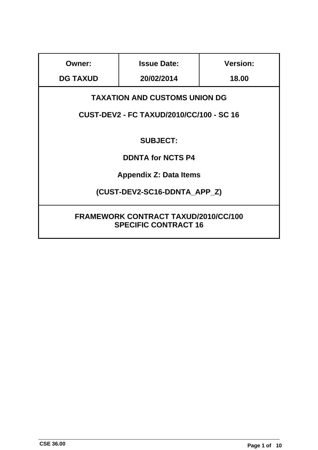| <b>Owner:</b>                                                                           | <b>Issue Date:</b> | <b>Version:</b> |
|-----------------------------------------------------------------------------------------|--------------------|-----------------|
| <b>DG TAXUD</b>                                                                         | 20/02/2014         | 18.00           |
| <b>TAXATION AND CUSTOMS UNION DG</b><br><b>CUST-DEV2 - FC TAXUD/2010/CC/100 - SC 16</b> |                    |                 |
| <b>SUBJECT:</b>                                                                         |                    |                 |
| <b>DDNTA for NCTS P4</b>                                                                |                    |                 |
| <b>Appendix Z: Data Items</b>                                                           |                    |                 |
| (CUST-DEV2-SC16-DDNTA_APP_Z)                                                            |                    |                 |
| <b>FRAMEWORK CONTRACT TAXUD/2010/CC/100</b><br><b>SPECIFIC CONTRACT 16</b>              |                    |                 |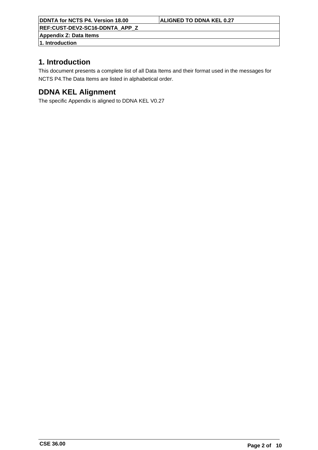**REF:CUST-DEV2-SC16-DDNTA\_APP\_Z**

**Appendix Z: Data Items**

**1. Introduction**

# **1. Introduction**

This document presents a complete list of all Data Items and their format used in the messages for NCTS P4.The Data Items are listed in alphabetical order.

# **DDNA KEL Alignment**

The specific Appendix is aligned to DDNA KEL V0.27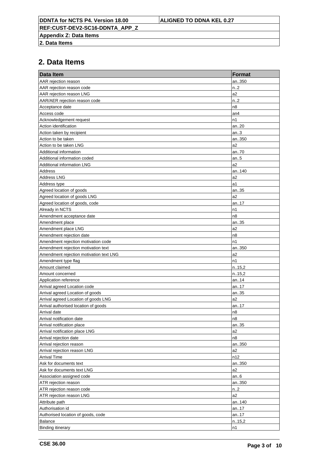**REF:CUST-DEV2-SC16-DDNTA\_APP\_Z**

**Appendix Z: Data Items**

**2. Data Items**

| <b>Data Item</b>                        | <b>Format</b>    |
|-----------------------------------------|------------------|
| AAR rejection reason                    | an350            |
| AAR rejection reason code               | n <sub>1</sub> 2 |
| AAR rejection reason LNG                | a2               |
| AAR/AER rejection reason code           | n.2              |
| Acceptance date                         | n8               |
| Access code                             | an4              |
| Acknowledgement request                 | n1               |
| Action identification                   | an20             |
| Action taken by recipient               | an.3             |
| Action to be taken                      | an350            |
| Action to be taken LNG                  | a2               |
| Additional information                  | an70             |
| Additional information coded            | an.5             |
| <b>Additional information LNG</b>       | a2               |
| Address                                 | an140            |
| <b>Address LNG</b>                      | a2               |
| Address type                            | a1               |
| Agreed location of goods                | an35             |
| Agreed location of goods LNG            | a2               |
| Agreed location of goods, code          | an17             |
| Already in NCTS                         | n1               |
| Amendment acceptance date               | n8               |
| Amendment place                         | an35             |
| Amendment place LNG                     | a2               |
| Amendment rejection date                | n8               |
| Amendment rejection motivation code     | n1               |
| Amendment rejection motivation text     | an350            |
| Amendment rejection motivation text LNG | a <sub>2</sub>   |
| Amendment type flag                     | n1               |
| Amount claimed                          | n.15,2           |
| Amount concerned                        | n.15,2           |
| Application reference                   | an14             |
| Arrival agreed Location code            | an17             |
| Arrival agreed Location of goods        | an35             |
| Arrival agreed Location of goods LNG    | a2               |
| Arrival authorised location of goods    | an17             |
| Arrival date                            | n8               |
| Arrival notification date               | n8               |
| Arrival notification place              | an35             |
| Arrival notification place LNG          | a2               |
| Arrival rejection date                  | n8               |
| Arrival rejection reason                | an350            |
| Arrival rejection reason LNG            | a2               |
| <b>Arrival Time</b>                     | n12              |
| Ask for documents text                  | an350            |
| Ask for documents text LNG              | a <sub>2</sub>   |
| Association assigned code               | an.6             |
| ATR rejection reason                    | an350            |
| ATR rejection reason code               | $n_{-.2}$        |
| ATR rejection reason LNG                | a2               |
| Attribute path                          | an140            |
| Authorisation id                        | an17             |
| Authorised location of goods, code      | an17             |
| Balance                                 | n.15,2           |
| <b>Binding itinerary</b>                | n1               |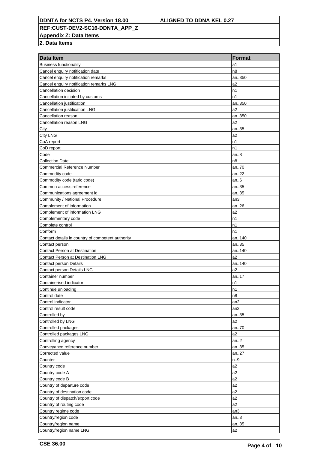**REF:CUST-DEV2-SC16-DDNTA\_APP\_Z**

**Appendix Z: Data Items**

| <b>Business functionality</b><br>a1<br>Cancel enquiry notification date<br>n8<br>Cancel enquiry notification remarks<br>an350<br>Cancel enquiry notification remarks LNG<br>a <sub>2</sub><br>Cancellation decision<br>n1<br>n1<br>Cancellation initiated by customs<br>Cancellation justification<br>an350<br>Cancellation justification LNG<br>a2<br>Cancellation reason<br>an350<br>Cancellation reason LNG<br>a2<br>City<br>an35<br><b>City LNG</b><br>a2<br>CoA report<br>n1<br>CoD report<br>n1<br>Code<br>an.8<br><b>Collection Date</b><br>n8<br>an70<br><b>Commercial Reference Number</b><br>Commodity code<br>an22<br>Commodity code (taric code)<br>an.6<br>Common access reference<br>an35<br>Communications agreement id<br>an35<br>Community / National Procedure<br>an3<br>Complement of information<br>an26<br>Complement of information LNG<br>a2<br>Complementary code<br>n1<br>Complete control<br>n1<br>n1<br>Conform<br>Contact details in country of competent authority<br>an140<br>an35<br>Contact person<br><b>Contact Person at Destination</b><br>an140<br>a2<br><b>Contact Person at Destination LNG</b><br><b>Contact person Details</b><br>an140<br>a2<br>Contact person Details LNG<br>Container number<br>an17<br>Containerised indicator<br>n1<br>n1<br>Continue unloading<br>Control date<br>n8<br>Control indicator<br>an <sub>2</sub><br>Control result code<br>an2<br>Controlled by<br>an35<br>Controlled by LNG<br>a2<br>Controlled packages<br>an70<br>Controlled packages LNG<br>a2<br>Controlling agency<br>an.2<br>Conveyance reference number<br>an35<br>Corrected value<br>an27<br>Counter<br>n.9<br>a2<br>Country code<br>Country code A<br>a <sub>2</sub><br>Country code B<br>a2<br>Country of departure code<br>a2<br>Country of destination code<br>a2<br>Country of dispatch/export code<br>a2<br>Country of routing code<br>a2<br>Country regime code<br>an3<br>Country/region code<br>an.3<br>Country/region name<br>an35 | Data Item               | <b>Format</b> |
|--------------------------------------------------------------------------------------------------------------------------------------------------------------------------------------------------------------------------------------------------------------------------------------------------------------------------------------------------------------------------------------------------------------------------------------------------------------------------------------------------------------------------------------------------------------------------------------------------------------------------------------------------------------------------------------------------------------------------------------------------------------------------------------------------------------------------------------------------------------------------------------------------------------------------------------------------------------------------------------------------------------------------------------------------------------------------------------------------------------------------------------------------------------------------------------------------------------------------------------------------------------------------------------------------------------------------------------------------------------------------------------------------------------------------------------------------------------------------------------------------------------------------------------------------------------------------------------------------------------------------------------------------------------------------------------------------------------------------------------------------------------------------------------------------------------------------------------------------------------------------------------------------------------------------------------------------------------------------------|-------------------------|---------------|
|                                                                                                                                                                                                                                                                                                                                                                                                                                                                                                                                                                                                                                                                                                                                                                                                                                                                                                                                                                                                                                                                                                                                                                                                                                                                                                                                                                                                                                                                                                                                                                                                                                                                                                                                                                                                                                                                                                                                                                                |                         |               |
|                                                                                                                                                                                                                                                                                                                                                                                                                                                                                                                                                                                                                                                                                                                                                                                                                                                                                                                                                                                                                                                                                                                                                                                                                                                                                                                                                                                                                                                                                                                                                                                                                                                                                                                                                                                                                                                                                                                                                                                |                         |               |
|                                                                                                                                                                                                                                                                                                                                                                                                                                                                                                                                                                                                                                                                                                                                                                                                                                                                                                                                                                                                                                                                                                                                                                                                                                                                                                                                                                                                                                                                                                                                                                                                                                                                                                                                                                                                                                                                                                                                                                                |                         |               |
|                                                                                                                                                                                                                                                                                                                                                                                                                                                                                                                                                                                                                                                                                                                                                                                                                                                                                                                                                                                                                                                                                                                                                                                                                                                                                                                                                                                                                                                                                                                                                                                                                                                                                                                                                                                                                                                                                                                                                                                |                         |               |
|                                                                                                                                                                                                                                                                                                                                                                                                                                                                                                                                                                                                                                                                                                                                                                                                                                                                                                                                                                                                                                                                                                                                                                                                                                                                                                                                                                                                                                                                                                                                                                                                                                                                                                                                                                                                                                                                                                                                                                                |                         |               |
|                                                                                                                                                                                                                                                                                                                                                                                                                                                                                                                                                                                                                                                                                                                                                                                                                                                                                                                                                                                                                                                                                                                                                                                                                                                                                                                                                                                                                                                                                                                                                                                                                                                                                                                                                                                                                                                                                                                                                                                |                         |               |
|                                                                                                                                                                                                                                                                                                                                                                                                                                                                                                                                                                                                                                                                                                                                                                                                                                                                                                                                                                                                                                                                                                                                                                                                                                                                                                                                                                                                                                                                                                                                                                                                                                                                                                                                                                                                                                                                                                                                                                                |                         |               |
|                                                                                                                                                                                                                                                                                                                                                                                                                                                                                                                                                                                                                                                                                                                                                                                                                                                                                                                                                                                                                                                                                                                                                                                                                                                                                                                                                                                                                                                                                                                                                                                                                                                                                                                                                                                                                                                                                                                                                                                |                         |               |
|                                                                                                                                                                                                                                                                                                                                                                                                                                                                                                                                                                                                                                                                                                                                                                                                                                                                                                                                                                                                                                                                                                                                                                                                                                                                                                                                                                                                                                                                                                                                                                                                                                                                                                                                                                                                                                                                                                                                                                                |                         |               |
|                                                                                                                                                                                                                                                                                                                                                                                                                                                                                                                                                                                                                                                                                                                                                                                                                                                                                                                                                                                                                                                                                                                                                                                                                                                                                                                                                                                                                                                                                                                                                                                                                                                                                                                                                                                                                                                                                                                                                                                |                         |               |
|                                                                                                                                                                                                                                                                                                                                                                                                                                                                                                                                                                                                                                                                                                                                                                                                                                                                                                                                                                                                                                                                                                                                                                                                                                                                                                                                                                                                                                                                                                                                                                                                                                                                                                                                                                                                                                                                                                                                                                                |                         |               |
|                                                                                                                                                                                                                                                                                                                                                                                                                                                                                                                                                                                                                                                                                                                                                                                                                                                                                                                                                                                                                                                                                                                                                                                                                                                                                                                                                                                                                                                                                                                                                                                                                                                                                                                                                                                                                                                                                                                                                                                |                         |               |
|                                                                                                                                                                                                                                                                                                                                                                                                                                                                                                                                                                                                                                                                                                                                                                                                                                                                                                                                                                                                                                                                                                                                                                                                                                                                                                                                                                                                                                                                                                                                                                                                                                                                                                                                                                                                                                                                                                                                                                                |                         |               |
|                                                                                                                                                                                                                                                                                                                                                                                                                                                                                                                                                                                                                                                                                                                                                                                                                                                                                                                                                                                                                                                                                                                                                                                                                                                                                                                                                                                                                                                                                                                                                                                                                                                                                                                                                                                                                                                                                                                                                                                |                         |               |
|                                                                                                                                                                                                                                                                                                                                                                                                                                                                                                                                                                                                                                                                                                                                                                                                                                                                                                                                                                                                                                                                                                                                                                                                                                                                                                                                                                                                                                                                                                                                                                                                                                                                                                                                                                                                                                                                                                                                                                                |                         |               |
|                                                                                                                                                                                                                                                                                                                                                                                                                                                                                                                                                                                                                                                                                                                                                                                                                                                                                                                                                                                                                                                                                                                                                                                                                                                                                                                                                                                                                                                                                                                                                                                                                                                                                                                                                                                                                                                                                                                                                                                |                         |               |
|                                                                                                                                                                                                                                                                                                                                                                                                                                                                                                                                                                                                                                                                                                                                                                                                                                                                                                                                                                                                                                                                                                                                                                                                                                                                                                                                                                                                                                                                                                                                                                                                                                                                                                                                                                                                                                                                                                                                                                                |                         |               |
|                                                                                                                                                                                                                                                                                                                                                                                                                                                                                                                                                                                                                                                                                                                                                                                                                                                                                                                                                                                                                                                                                                                                                                                                                                                                                                                                                                                                                                                                                                                                                                                                                                                                                                                                                                                                                                                                                                                                                                                |                         |               |
|                                                                                                                                                                                                                                                                                                                                                                                                                                                                                                                                                                                                                                                                                                                                                                                                                                                                                                                                                                                                                                                                                                                                                                                                                                                                                                                                                                                                                                                                                                                                                                                                                                                                                                                                                                                                                                                                                                                                                                                |                         |               |
|                                                                                                                                                                                                                                                                                                                                                                                                                                                                                                                                                                                                                                                                                                                                                                                                                                                                                                                                                                                                                                                                                                                                                                                                                                                                                                                                                                                                                                                                                                                                                                                                                                                                                                                                                                                                                                                                                                                                                                                |                         |               |
|                                                                                                                                                                                                                                                                                                                                                                                                                                                                                                                                                                                                                                                                                                                                                                                                                                                                                                                                                                                                                                                                                                                                                                                                                                                                                                                                                                                                                                                                                                                                                                                                                                                                                                                                                                                                                                                                                                                                                                                |                         |               |
|                                                                                                                                                                                                                                                                                                                                                                                                                                                                                                                                                                                                                                                                                                                                                                                                                                                                                                                                                                                                                                                                                                                                                                                                                                                                                                                                                                                                                                                                                                                                                                                                                                                                                                                                                                                                                                                                                                                                                                                |                         |               |
|                                                                                                                                                                                                                                                                                                                                                                                                                                                                                                                                                                                                                                                                                                                                                                                                                                                                                                                                                                                                                                                                                                                                                                                                                                                                                                                                                                                                                                                                                                                                                                                                                                                                                                                                                                                                                                                                                                                                                                                |                         |               |
|                                                                                                                                                                                                                                                                                                                                                                                                                                                                                                                                                                                                                                                                                                                                                                                                                                                                                                                                                                                                                                                                                                                                                                                                                                                                                                                                                                                                                                                                                                                                                                                                                                                                                                                                                                                                                                                                                                                                                                                |                         |               |
|                                                                                                                                                                                                                                                                                                                                                                                                                                                                                                                                                                                                                                                                                                                                                                                                                                                                                                                                                                                                                                                                                                                                                                                                                                                                                                                                                                                                                                                                                                                                                                                                                                                                                                                                                                                                                                                                                                                                                                                |                         |               |
|                                                                                                                                                                                                                                                                                                                                                                                                                                                                                                                                                                                                                                                                                                                                                                                                                                                                                                                                                                                                                                                                                                                                                                                                                                                                                                                                                                                                                                                                                                                                                                                                                                                                                                                                                                                                                                                                                                                                                                                |                         |               |
|                                                                                                                                                                                                                                                                                                                                                                                                                                                                                                                                                                                                                                                                                                                                                                                                                                                                                                                                                                                                                                                                                                                                                                                                                                                                                                                                                                                                                                                                                                                                                                                                                                                                                                                                                                                                                                                                                                                                                                                |                         |               |
|                                                                                                                                                                                                                                                                                                                                                                                                                                                                                                                                                                                                                                                                                                                                                                                                                                                                                                                                                                                                                                                                                                                                                                                                                                                                                                                                                                                                                                                                                                                                                                                                                                                                                                                                                                                                                                                                                                                                                                                |                         |               |
|                                                                                                                                                                                                                                                                                                                                                                                                                                                                                                                                                                                                                                                                                                                                                                                                                                                                                                                                                                                                                                                                                                                                                                                                                                                                                                                                                                                                                                                                                                                                                                                                                                                                                                                                                                                                                                                                                                                                                                                |                         |               |
|                                                                                                                                                                                                                                                                                                                                                                                                                                                                                                                                                                                                                                                                                                                                                                                                                                                                                                                                                                                                                                                                                                                                                                                                                                                                                                                                                                                                                                                                                                                                                                                                                                                                                                                                                                                                                                                                                                                                                                                |                         |               |
|                                                                                                                                                                                                                                                                                                                                                                                                                                                                                                                                                                                                                                                                                                                                                                                                                                                                                                                                                                                                                                                                                                                                                                                                                                                                                                                                                                                                                                                                                                                                                                                                                                                                                                                                                                                                                                                                                                                                                                                |                         |               |
|                                                                                                                                                                                                                                                                                                                                                                                                                                                                                                                                                                                                                                                                                                                                                                                                                                                                                                                                                                                                                                                                                                                                                                                                                                                                                                                                                                                                                                                                                                                                                                                                                                                                                                                                                                                                                                                                                                                                                                                |                         |               |
|                                                                                                                                                                                                                                                                                                                                                                                                                                                                                                                                                                                                                                                                                                                                                                                                                                                                                                                                                                                                                                                                                                                                                                                                                                                                                                                                                                                                                                                                                                                                                                                                                                                                                                                                                                                                                                                                                                                                                                                |                         |               |
|                                                                                                                                                                                                                                                                                                                                                                                                                                                                                                                                                                                                                                                                                                                                                                                                                                                                                                                                                                                                                                                                                                                                                                                                                                                                                                                                                                                                                                                                                                                                                                                                                                                                                                                                                                                                                                                                                                                                                                                |                         |               |
|                                                                                                                                                                                                                                                                                                                                                                                                                                                                                                                                                                                                                                                                                                                                                                                                                                                                                                                                                                                                                                                                                                                                                                                                                                                                                                                                                                                                                                                                                                                                                                                                                                                                                                                                                                                                                                                                                                                                                                                |                         |               |
|                                                                                                                                                                                                                                                                                                                                                                                                                                                                                                                                                                                                                                                                                                                                                                                                                                                                                                                                                                                                                                                                                                                                                                                                                                                                                                                                                                                                                                                                                                                                                                                                                                                                                                                                                                                                                                                                                                                                                                                |                         |               |
|                                                                                                                                                                                                                                                                                                                                                                                                                                                                                                                                                                                                                                                                                                                                                                                                                                                                                                                                                                                                                                                                                                                                                                                                                                                                                                                                                                                                                                                                                                                                                                                                                                                                                                                                                                                                                                                                                                                                                                                |                         |               |
|                                                                                                                                                                                                                                                                                                                                                                                                                                                                                                                                                                                                                                                                                                                                                                                                                                                                                                                                                                                                                                                                                                                                                                                                                                                                                                                                                                                                                                                                                                                                                                                                                                                                                                                                                                                                                                                                                                                                                                                |                         |               |
|                                                                                                                                                                                                                                                                                                                                                                                                                                                                                                                                                                                                                                                                                                                                                                                                                                                                                                                                                                                                                                                                                                                                                                                                                                                                                                                                                                                                                                                                                                                                                                                                                                                                                                                                                                                                                                                                                                                                                                                |                         |               |
|                                                                                                                                                                                                                                                                                                                                                                                                                                                                                                                                                                                                                                                                                                                                                                                                                                                                                                                                                                                                                                                                                                                                                                                                                                                                                                                                                                                                                                                                                                                                                                                                                                                                                                                                                                                                                                                                                                                                                                                |                         |               |
|                                                                                                                                                                                                                                                                                                                                                                                                                                                                                                                                                                                                                                                                                                                                                                                                                                                                                                                                                                                                                                                                                                                                                                                                                                                                                                                                                                                                                                                                                                                                                                                                                                                                                                                                                                                                                                                                                                                                                                                |                         |               |
|                                                                                                                                                                                                                                                                                                                                                                                                                                                                                                                                                                                                                                                                                                                                                                                                                                                                                                                                                                                                                                                                                                                                                                                                                                                                                                                                                                                                                                                                                                                                                                                                                                                                                                                                                                                                                                                                                                                                                                                |                         |               |
|                                                                                                                                                                                                                                                                                                                                                                                                                                                                                                                                                                                                                                                                                                                                                                                                                                                                                                                                                                                                                                                                                                                                                                                                                                                                                                                                                                                                                                                                                                                                                                                                                                                                                                                                                                                                                                                                                                                                                                                |                         |               |
|                                                                                                                                                                                                                                                                                                                                                                                                                                                                                                                                                                                                                                                                                                                                                                                                                                                                                                                                                                                                                                                                                                                                                                                                                                                                                                                                                                                                                                                                                                                                                                                                                                                                                                                                                                                                                                                                                                                                                                                |                         |               |
|                                                                                                                                                                                                                                                                                                                                                                                                                                                                                                                                                                                                                                                                                                                                                                                                                                                                                                                                                                                                                                                                                                                                                                                                                                                                                                                                                                                                                                                                                                                                                                                                                                                                                                                                                                                                                                                                                                                                                                                |                         |               |
|                                                                                                                                                                                                                                                                                                                                                                                                                                                                                                                                                                                                                                                                                                                                                                                                                                                                                                                                                                                                                                                                                                                                                                                                                                                                                                                                                                                                                                                                                                                                                                                                                                                                                                                                                                                                                                                                                                                                                                                |                         |               |
|                                                                                                                                                                                                                                                                                                                                                                                                                                                                                                                                                                                                                                                                                                                                                                                                                                                                                                                                                                                                                                                                                                                                                                                                                                                                                                                                                                                                                                                                                                                                                                                                                                                                                                                                                                                                                                                                                                                                                                                |                         |               |
|                                                                                                                                                                                                                                                                                                                                                                                                                                                                                                                                                                                                                                                                                                                                                                                                                                                                                                                                                                                                                                                                                                                                                                                                                                                                                                                                                                                                                                                                                                                                                                                                                                                                                                                                                                                                                                                                                                                                                                                |                         |               |
|                                                                                                                                                                                                                                                                                                                                                                                                                                                                                                                                                                                                                                                                                                                                                                                                                                                                                                                                                                                                                                                                                                                                                                                                                                                                                                                                                                                                                                                                                                                                                                                                                                                                                                                                                                                                                                                                                                                                                                                |                         |               |
|                                                                                                                                                                                                                                                                                                                                                                                                                                                                                                                                                                                                                                                                                                                                                                                                                                                                                                                                                                                                                                                                                                                                                                                                                                                                                                                                                                                                                                                                                                                                                                                                                                                                                                                                                                                                                                                                                                                                                                                |                         |               |
|                                                                                                                                                                                                                                                                                                                                                                                                                                                                                                                                                                                                                                                                                                                                                                                                                                                                                                                                                                                                                                                                                                                                                                                                                                                                                                                                                                                                                                                                                                                                                                                                                                                                                                                                                                                                                                                                                                                                                                                |                         |               |
|                                                                                                                                                                                                                                                                                                                                                                                                                                                                                                                                                                                                                                                                                                                                                                                                                                                                                                                                                                                                                                                                                                                                                                                                                                                                                                                                                                                                                                                                                                                                                                                                                                                                                                                                                                                                                                                                                                                                                                                |                         |               |
|                                                                                                                                                                                                                                                                                                                                                                                                                                                                                                                                                                                                                                                                                                                                                                                                                                                                                                                                                                                                                                                                                                                                                                                                                                                                                                                                                                                                                                                                                                                                                                                                                                                                                                                                                                                                                                                                                                                                                                                |                         |               |
|                                                                                                                                                                                                                                                                                                                                                                                                                                                                                                                                                                                                                                                                                                                                                                                                                                                                                                                                                                                                                                                                                                                                                                                                                                                                                                                                                                                                                                                                                                                                                                                                                                                                                                                                                                                                                                                                                                                                                                                |                         |               |
|                                                                                                                                                                                                                                                                                                                                                                                                                                                                                                                                                                                                                                                                                                                                                                                                                                                                                                                                                                                                                                                                                                                                                                                                                                                                                                                                                                                                                                                                                                                                                                                                                                                                                                                                                                                                                                                                                                                                                                                |                         |               |
|                                                                                                                                                                                                                                                                                                                                                                                                                                                                                                                                                                                                                                                                                                                                                                                                                                                                                                                                                                                                                                                                                                                                                                                                                                                                                                                                                                                                                                                                                                                                                                                                                                                                                                                                                                                                                                                                                                                                                                                |                         |               |
|                                                                                                                                                                                                                                                                                                                                                                                                                                                                                                                                                                                                                                                                                                                                                                                                                                                                                                                                                                                                                                                                                                                                                                                                                                                                                                                                                                                                                                                                                                                                                                                                                                                                                                                                                                                                                                                                                                                                                                                |                         |               |
|                                                                                                                                                                                                                                                                                                                                                                                                                                                                                                                                                                                                                                                                                                                                                                                                                                                                                                                                                                                                                                                                                                                                                                                                                                                                                                                                                                                                                                                                                                                                                                                                                                                                                                                                                                                                                                                                                                                                                                                | Country/region name LNG | a2            |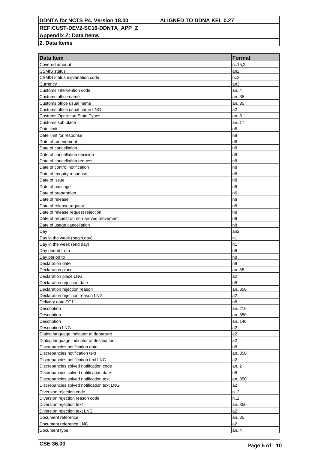**REF:CUST-DEV2-SC16-DDNTA\_APP\_Z**

**Appendix Z: Data Items**

| Data Item                                  | <b>Format</b>    |
|--------------------------------------------|------------------|
| Covered amount                             | n.15,2           |
| <b>CSMIS</b> status                        | an <sub>2</sub>  |
| CSMIS status explanation code              | n <sub>1</sub> 2 |
| Currency                                   | an3              |
| Customs Intervention code                  | an. $.4$         |
| Customs office name                        | an35             |
| Customs office usual name                  | an35             |
| Customs office usual name LNG              | a <sub>2</sub>   |
| <b>Customs Operation State Types</b>       | an.3             |
| Customs sub place                          | an17             |
| Date limit                                 | n <sub>8</sub>   |
| Date limit for response                    | n <sub>8</sub>   |
| Date of amendment                          | n <sub>8</sub>   |
| Date of cancellation                       | n <sub>8</sub>   |
| Date of cancellation decision              | n <sub>8</sub>   |
| Date of cancellation request               | n <sub>8</sub>   |
| Date of control notification               | n <sub>8</sub>   |
| Date of enquiry response                   | n <sub>8</sub>   |
| Date of issue                              | n <sub>8</sub>   |
| Date of passage                            | n <sub>8</sub>   |
| Date of preparation                        | n <sub>6</sub>   |
| Date of release                            | n <sub>8</sub>   |
| Date of release request                    | n <sub>8</sub>   |
| Date of release request rejection          | n <sub>8</sub>   |
| Date of request on non-arrived movement    | n <sub>8</sub>   |
| Date of usage cancellation                 | n <sub>8</sub>   |
| Day                                        | an <sub>2</sub>  |
| Day in the week (begin day)                | n1               |
| Day in the week (end day)                  | n1               |
| Day period from                            | n <sub>8</sub>   |
| Day period to                              | n <sub>8</sub>   |
| Declaration date                           | n <sub>8</sub>   |
| Declaration place                          | an35             |
| Declaration place LNG                      | a2               |
| Declaration rejection date                 | n8               |
| Declaration rejection reason               | an350            |
| Declaration rejection reason LNG           | a2               |
| Delivery date TC11                         | n8               |
| Description                                | an210            |
| Description                                | an350            |
| Description                                | an140            |
| Description LNG                            | a2               |
| Dialog language indicator at departure     | a2               |
| Dialog language indicator at destination   | a2               |
| Discrepancies notification date            | n8               |
| Discrepancies notification text            | an350            |
| Discrepancies notification text LNG        | a2               |
| Discrepancies solved notification code     | an.2             |
| Discrepancies solved notification date     | n8               |
| Discrepancies solved notification text     | an350            |
| Discrepancies solved notification text LNG | a2               |
| Diversion rejection code                   | n.2              |
| Diversion rejection reason code            | n <sub>1</sub> 2 |
| Diversion rejection text                   | an350            |
| Diversion rejection text LNG               | a2               |
| Document reference                         | an35             |
| Document reference LNG                     | a2               |
| Document type                              | an. $.4$         |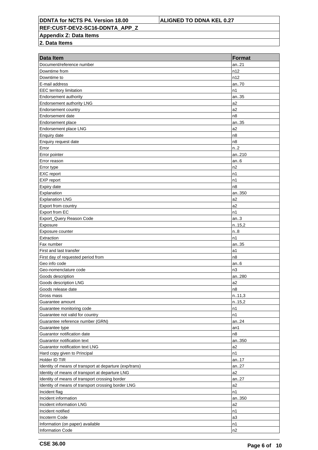**REF:CUST-DEV2-SC16-DDNTA\_APP\_Z**

**Appendix Z: Data Items**

| <b>Data Item</b>                                        | <b>Format</b>  |
|---------------------------------------------------------|----------------|
| Document/reference number                               | an21           |
| Downtime from                                           | n12            |
| Downtime to                                             | n12            |
| E-mail address                                          | an70           |
| <b>EEC</b> territory limitation                         | n1             |
| Endorsement authority                                   | an35           |
| Endorsement authority LNG                               | a2             |
| Endorsement country                                     | a2             |
| Endorsement date                                        | n8             |
| Endorsement place                                       | an35           |
| Endorsement place LNG                                   | a <sub>2</sub> |
| Enquiry date                                            | n8             |
| Enquiry request date                                    | n8             |
| Error                                                   | n2             |
| Error pointer                                           | an210          |
| Error reason                                            | an $6$         |
| Error type                                              | n2             |
| <b>EXC</b> report                                       | n1             |
| EXP report                                              | n1             |
| Expiry date                                             | n8             |
| Explanation                                             | an350          |
| <b>Explanation LNG</b>                                  | a2             |
| Export from country                                     | a2             |
| Export from EC                                          | n1             |
| Export_Query Reason Code                                | an.3           |
| Exposure                                                | n.15,2         |
| Exposure counter                                        | n.8            |
| Extraction                                              | n1             |
| Fax number                                              | an35           |
| First and last transfer                                 | a1             |
| First day of requested period from                      | n8             |
| Geo info code                                           | an6            |
| Geo-nomenclature code                                   | n <sub>3</sub> |
| Goods description                                       | an280          |
| Goods description LNG                                   | a2             |
| Goods release date                                      | n8             |
| Gross mass                                              | n.11,3         |
| Guarantee amount                                        | n.15,2         |
| Guarantee monitoring code                               | n1             |
| Guarantee not valid for country                         | n1             |
| Guarantee reference number (GRN)                        | an24           |
| Guarantee type                                          | an1            |
| Guarantor notification date                             | n8             |
| Guarantor notification text                             | an350          |
| Guarantor notification text LNG                         | a2             |
| Hard copy given to Principal                            | n1             |
| Holder ID TIR                                           | an17           |
| Identity of means of transport at departure (exp/trans) | an27           |
| Identity of means of transport at departure LNG         | a2             |
| Identity of means of transport crossing border          | an27           |
| Identity of means of transport crossing border LNG      | a2             |
| Incident flag                                           | n1             |
| Incident information                                    | an350          |
| Incident information LNG                                | a2             |
| Incident notified                                       | n1             |
| Incoterm Code                                           | a3             |
| Information (on paper) available                        | n1             |
| <b>Information Code</b>                                 | n2             |
|                                                         |                |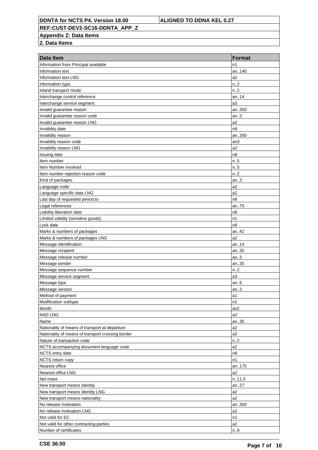**REF:CUST-DEV2-SC16-DDNTA\_APP\_Z**

**Appendix Z: Data Items**

| Information from Principal available<br>n1<br>an140<br>Information text<br>Information text LNG<br>a <sub>2</sub><br>n <sub>1</sub> 2<br>Information type<br>n <sub>1</sub> 2<br>Inland transport mode<br>Interchange control reference<br>an14<br>a3<br>Interchange service segment<br>an350<br>Invalid guarantee reason<br>Invalid guarantee reason code<br>an.3<br>Invalid guarantee reason LNG<br>a <sub>2</sub><br>Invalidity date<br>n8<br>Invalidity reason<br>an350<br>Invalidity reason code<br>an3<br>Invalidity reason LNG<br>a <sub>2</sub><br>n <sub>8</sub><br>Issuing date<br>Item number<br>$n_{.}.5$<br>n.5<br>Item Number involved<br>n.2<br>Item number rejection reason code<br>Kind of packages<br>an.3 |
|------------------------------------------------------------------------------------------------------------------------------------------------------------------------------------------------------------------------------------------------------------------------------------------------------------------------------------------------------------------------------------------------------------------------------------------------------------------------------------------------------------------------------------------------------------------------------------------------------------------------------------------------------------------------------------------------------------------------------|
|                                                                                                                                                                                                                                                                                                                                                                                                                                                                                                                                                                                                                                                                                                                              |
|                                                                                                                                                                                                                                                                                                                                                                                                                                                                                                                                                                                                                                                                                                                              |
|                                                                                                                                                                                                                                                                                                                                                                                                                                                                                                                                                                                                                                                                                                                              |
|                                                                                                                                                                                                                                                                                                                                                                                                                                                                                                                                                                                                                                                                                                                              |
|                                                                                                                                                                                                                                                                                                                                                                                                                                                                                                                                                                                                                                                                                                                              |
|                                                                                                                                                                                                                                                                                                                                                                                                                                                                                                                                                                                                                                                                                                                              |
|                                                                                                                                                                                                                                                                                                                                                                                                                                                                                                                                                                                                                                                                                                                              |
|                                                                                                                                                                                                                                                                                                                                                                                                                                                                                                                                                                                                                                                                                                                              |
|                                                                                                                                                                                                                                                                                                                                                                                                                                                                                                                                                                                                                                                                                                                              |
|                                                                                                                                                                                                                                                                                                                                                                                                                                                                                                                                                                                                                                                                                                                              |
|                                                                                                                                                                                                                                                                                                                                                                                                                                                                                                                                                                                                                                                                                                                              |
|                                                                                                                                                                                                                                                                                                                                                                                                                                                                                                                                                                                                                                                                                                                              |
|                                                                                                                                                                                                                                                                                                                                                                                                                                                                                                                                                                                                                                                                                                                              |
|                                                                                                                                                                                                                                                                                                                                                                                                                                                                                                                                                                                                                                                                                                                              |
|                                                                                                                                                                                                                                                                                                                                                                                                                                                                                                                                                                                                                                                                                                                              |
|                                                                                                                                                                                                                                                                                                                                                                                                                                                                                                                                                                                                                                                                                                                              |
|                                                                                                                                                                                                                                                                                                                                                                                                                                                                                                                                                                                                                                                                                                                              |
|                                                                                                                                                                                                                                                                                                                                                                                                                                                                                                                                                                                                                                                                                                                              |
|                                                                                                                                                                                                                                                                                                                                                                                                                                                                                                                                                                                                                                                                                                                              |
| Language code<br>a2                                                                                                                                                                                                                                                                                                                                                                                                                                                                                                                                                                                                                                                                                                          |
| a <sub>2</sub><br>Language specific data LNG                                                                                                                                                                                                                                                                                                                                                                                                                                                                                                                                                                                                                                                                                 |
| Last day of requested period to<br>n8                                                                                                                                                                                                                                                                                                                                                                                                                                                                                                                                                                                                                                                                                        |
| Legal references<br>an70                                                                                                                                                                                                                                                                                                                                                                                                                                                                                                                                                                                                                                                                                                     |
| Liability liberation date<br>n8                                                                                                                                                                                                                                                                                                                                                                                                                                                                                                                                                                                                                                                                                              |
| Limited validity (sensitive goods)<br>n1                                                                                                                                                                                                                                                                                                                                                                                                                                                                                                                                                                                                                                                                                     |
| Lock date<br>n8                                                                                                                                                                                                                                                                                                                                                                                                                                                                                                                                                                                                                                                                                                              |
| Marks & numbers of packages<br>an42                                                                                                                                                                                                                                                                                                                                                                                                                                                                                                                                                                                                                                                                                          |
| a <sub>2</sub><br>Marks & numbers of packages LNG                                                                                                                                                                                                                                                                                                                                                                                                                                                                                                                                                                                                                                                                            |
| Message identification<br>an14                                                                                                                                                                                                                                                                                                                                                                                                                                                                                                                                                                                                                                                                                               |
| Message recipient<br>an35                                                                                                                                                                                                                                                                                                                                                                                                                                                                                                                                                                                                                                                                                                    |
| Message release number<br>an.3                                                                                                                                                                                                                                                                                                                                                                                                                                                                                                                                                                                                                                                                                               |
| Message sender<br>an35                                                                                                                                                                                                                                                                                                                                                                                                                                                                                                                                                                                                                                                                                                       |
| n.2<br>Message sequence number                                                                                                                                                                                                                                                                                                                                                                                                                                                                                                                                                                                                                                                                                               |
| Message service segment<br>a3                                                                                                                                                                                                                                                                                                                                                                                                                                                                                                                                                                                                                                                                                                |
| Message type<br>an $6$                                                                                                                                                                                                                                                                                                                                                                                                                                                                                                                                                                                                                                                                                                       |
| Message version<br>an.3                                                                                                                                                                                                                                                                                                                                                                                                                                                                                                                                                                                                                                                                                                      |
| Method of payment<br>a1                                                                                                                                                                                                                                                                                                                                                                                                                                                                                                                                                                                                                                                                                                      |
| Modification subtype<br>n1                                                                                                                                                                                                                                                                                                                                                                                                                                                                                                                                                                                                                                                                                                   |
| Month<br>an2                                                                                                                                                                                                                                                                                                                                                                                                                                                                                                                                                                                                                                                                                                                 |
| <b>NAD LNG</b><br>a <sub>2</sub>                                                                                                                                                                                                                                                                                                                                                                                                                                                                                                                                                                                                                                                                                             |
| Name<br>an35<br>a2                                                                                                                                                                                                                                                                                                                                                                                                                                                                                                                                                                                                                                                                                                           |
| Nationality of means of transport at departure<br>a2                                                                                                                                                                                                                                                                                                                                                                                                                                                                                                                                                                                                                                                                         |
| Nationality of means of transport crossing border<br>Nature of transaction code<br>n2                                                                                                                                                                                                                                                                                                                                                                                                                                                                                                                                                                                                                                        |
| a2<br>NCTS accompanying document language code                                                                                                                                                                                                                                                                                                                                                                                                                                                                                                                                                                                                                                                                               |
| NCTS entry date<br>n8                                                                                                                                                                                                                                                                                                                                                                                                                                                                                                                                                                                                                                                                                                        |
| NCTS return copy<br>n1                                                                                                                                                                                                                                                                                                                                                                                                                                                                                                                                                                                                                                                                                                       |
| Nearest office<br>an175                                                                                                                                                                                                                                                                                                                                                                                                                                                                                                                                                                                                                                                                                                      |
| Nearest office LNG<br>a <sub>2</sub>                                                                                                                                                                                                                                                                                                                                                                                                                                                                                                                                                                                                                                                                                         |
| Net mass<br>n.11,3                                                                                                                                                                                                                                                                                                                                                                                                                                                                                                                                                                                                                                                                                                           |
| New transport means identity<br>an27                                                                                                                                                                                                                                                                                                                                                                                                                                                                                                                                                                                                                                                                                         |
| New transport means identity LNG<br>a2                                                                                                                                                                                                                                                                                                                                                                                                                                                                                                                                                                                                                                                                                       |
| a2<br>New transport means nationality                                                                                                                                                                                                                                                                                                                                                                                                                                                                                                                                                                                                                                                                                        |
| No release motivation<br>an350                                                                                                                                                                                                                                                                                                                                                                                                                                                                                                                                                                                                                                                                                               |
| No release motivation LNG<br>a2                                                                                                                                                                                                                                                                                                                                                                                                                                                                                                                                                                                                                                                                                              |
| Not valid for EC<br>n1                                                                                                                                                                                                                                                                                                                                                                                                                                                                                                                                                                                                                                                                                                       |
| a <sub>2</sub><br>Not valid for other contracting parties                                                                                                                                                                                                                                                                                                                                                                                                                                                                                                                                                                                                                                                                    |
| Number of certificates<br>n.8                                                                                                                                                                                                                                                                                                                                                                                                                                                                                                                                                                                                                                                                                                |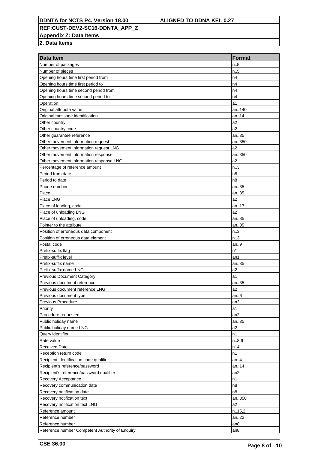**REF:CUST-DEV2-SC16-DDNTA\_APP\_Z**

**Appendix Z: Data Items**

| Data Item                                       | <b>Format</b>   |
|-------------------------------------------------|-----------------|
| Number of packages                              | n.5             |
| Number of pieces                                | n.5             |
| Opening hours time first period from            | n4              |
| Opening hours time first period to              | n4              |
| Opening hours time second period from           | n4              |
| Opening hours time second period to             | n4              |
| Operation                                       | a1              |
| Original attribute value                        | an140           |
| Original message identification                 | an14            |
| Other country                                   | a2              |
| Other country code                              | a2              |
| Other guarantee reference                       | an35            |
| Other movement information request              | an350           |
| Other movement information request LNG          | a2              |
| Other movement information response             | an350           |
| Other movement information response LNG         | a2              |
| Percentage of reference amount                  | n.3             |
| Period from date                                | n8              |
| Period to date                                  | n8              |
| Phone number                                    | an35            |
| Place                                           | an35            |
| Place LNG                                       | a2              |
| Place of loading, code                          | an.17           |
| Place of unloading LNG                          | a2              |
| Place of unloading, code                        | an35            |
| Pointer to the attribute                        | an35            |
| Position of erroneous data component            | n.3             |
| Position of erroneous data element              | n.3             |
| Postal code                                     | an.9            |
| Prefix-suffix flag                              | n1              |
| Prefix-suffix level                             | an1             |
| Prefix-suffix name                              | an35            |
| Prefix-suffix name LNG                          | a2              |
| <b>Previous Document Category</b>               | a1              |
| Previous document reference                     | an35            |
| Previous document reference LNG                 | a2              |
| Previous document type                          | an.6            |
| <b>Previous Procedure</b>                       | an2             |
| Priority                                        | a1              |
| Procedure requested                             | an2             |
| Public holiday name                             | an35            |
| Public holiday name LNG                         | a2              |
| Query identifier                                | n1              |
| Rate value                                      | n.8,6           |
| <b>Received Date</b>                            | n14             |
| Reception return code                           | n1              |
| Recipient identification code qualifier         | an. $4$         |
| Recipient's reference/password                  | an14            |
| Recipient's reference/password qualifier        | an <sub>2</sub> |
| Recovery Acceptance                             | n1              |
| Recovery communication date                     | n8              |
| Recovery notification date                      | n8              |
| Recovery notification text                      | an350           |
| Recovery notification text LNG                  | a2              |
| Reference amount                                | n.15,2          |
| Reference number                                | an22            |
| Reference number                                | an <sub>8</sub> |
| Reference number Competent Authority of Enquiry | an8             |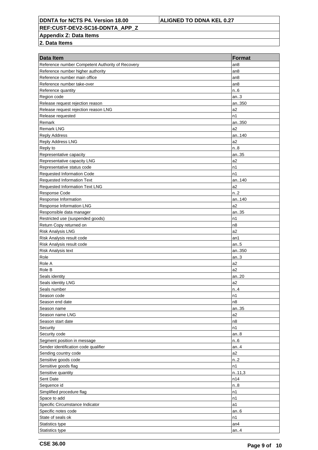**REF:CUST-DEV2-SC16-DDNTA\_APP\_Z**

**Appendix Z: Data Items**

| Data Item                                        | <b>Format</b>   |
|--------------------------------------------------|-----------------|
| Reference number Competent Authority of Recovery | an <sub>8</sub> |
| Reference number higher authority                | an <sub>8</sub> |
| Reference number main office                     | an <sub>8</sub> |
| Reference number take-over                       | an8             |
| Reference quantity                               | n.6             |
| Region code                                      | an.3            |
| Release request rejection reason                 | an350           |
| Release request rejection reason LNG             | a <sub>2</sub>  |
| Release requested                                | n1              |
| Remark                                           | an350           |
| <b>Remark LNG</b>                                | a <sub>2</sub>  |
| <b>Reply Address</b>                             | an140           |
| Reply Address LNG                                | a <sub>2</sub>  |
| Reply to                                         | n.8             |
| Representative capacity                          | an35            |
| Representative capacity LNG                      | a <sub>2</sub>  |
| Representative status code                       | n1              |
| <b>Requested Information Code</b>                | n1              |
| <b>Requested Information Text</b>                | an140           |
| Requested Information Text LNG                   | a <sub>2</sub>  |
| Response Code                                    | n.2             |
| Response Information                             | an140           |
| Response Information LNG                         | a <sub>2</sub>  |
| Responsible data manager                         | an35            |
| Restricted use (suspended goods)                 | n1              |
| Return Copy returned on                          | n8              |
| <b>Risk Analysis LNG</b>                         | a2              |
| Risk Analysis result code                        | an1             |
| Risk Analysis result code                        | an.5            |
| Risk Analysis text                               | an350           |
| Role                                             | an.3            |
| Role A                                           | a2              |
| Role B                                           | a2              |
| Seals identity                                   | an20            |
| Seals identity LNG                               | a <sub>2</sub>  |
| Seals number                                     | n.4             |
| Season code                                      | n1              |
| Season end date                                  | n8              |
| Season name                                      | an35            |
| Season name LNG                                  | a <sub>2</sub>  |
| Season start date                                | n8              |
| Security                                         | n1              |
| Security code                                    | an.8            |
| Segment position in message                      | n.6             |
| Sender identification code qualifier             | an.4            |
| Sending country code                             | a2              |
| Sensitive goods code                             | n2              |
| Sensitive goods flag                             | n1              |
| Sensitive quantity                               | n.11,3          |
| Sent Date                                        | n14             |
| Sequence id                                      | n.8             |
| Simplified procedure flag                        | n1              |
| Space to add                                     | n1              |
| Specific Circumstance Indicator                  | a1              |
| Specific notes code                              | an $6$          |
| State of seals ok                                | n1              |
| Statistics type                                  | an <sub>4</sub> |
| Statistics type                                  | an. $4$         |